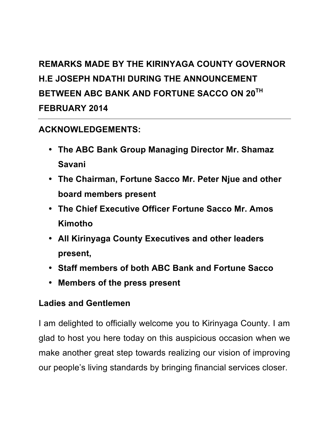# **REMARKS MADE BY THE KIRINYAGA COUNTY GOVERNOR H.E JOSEPH NDATHI DURING THE ANNOUNCEMENT BETWEEN ABC BANK AND FORTUNE SACCO ON 20TH FEBRUARY 2014**

## **ACKNOWLEDGEMENTS:**

- **The ABC Bank Group Managing Director Mr. Shamaz Savani**
- **The Chairman, Fortune Sacco Mr. Peter Njue and other board members present**
- **The Chief Executive Officer Fortune Sacco Mr. Amos Kimotho**
- **All Kirinyaga County Executives and other leaders present,**
- **Staff members of both ABC Bank and Fortune Sacco**
- **Members of the press present**

### **Ladies and Gentlemen**

I am delighted to officially welcome you to Kirinyaga County. I am glad to host you here today on this auspicious occasion when we make another great step towards realizing our vision of improving our people's living standards by bringing financial services closer.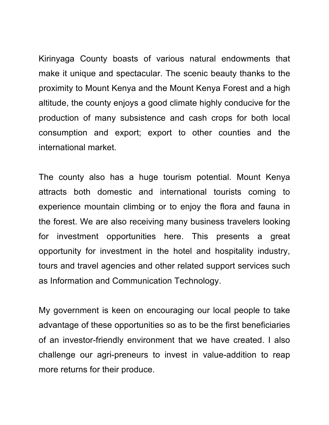Kirinyaga County boasts of various natural endowments that make it unique and spectacular. The scenic beauty thanks to the proximity to Mount Kenya and the Mount Kenya Forest and a high altitude, the county enjoys a good climate highly conducive for the production of many subsistence and cash crops for both local consumption and export; export to other counties and the international market.

The county also has a huge tourism potential. Mount Kenya attracts both domestic and international tourists coming to experience mountain climbing or to enjoy the flora and fauna in the forest. We are also receiving many business travelers looking for investment opportunities here. This presents a great opportunity for investment in the hotel and hospitality industry, tours and travel agencies and other related support services such as Information and Communication Technology.

My government is keen on encouraging our local people to take advantage of these opportunities so as to be the first beneficiaries of an investor-friendly environment that we have created. I also challenge our agri-preneurs to invest in value-addition to reap more returns for their produce.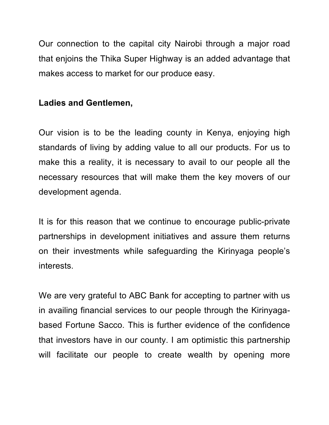Our connection to the capital city Nairobi through a major road that enjoins the Thika Super Highway is an added advantage that makes access to market for our produce easy.

#### **Ladies and Gentlemen,**

Our vision is to be the leading county in Kenya, enjoying high standards of living by adding value to all our products. For us to make this a reality, it is necessary to avail to our people all the necessary resources that will make them the key movers of our development agenda.

It is for this reason that we continue to encourage public-private partnerships in development initiatives and assure them returns on their investments while safeguarding the Kirinyaga people's interests.

We are very grateful to ABC Bank for accepting to partner with us in availing financial services to our people through the Kirinyagabased Fortune Sacco. This is further evidence of the confidence that investors have in our county. I am optimistic this partnership will facilitate our people to create wealth by opening more